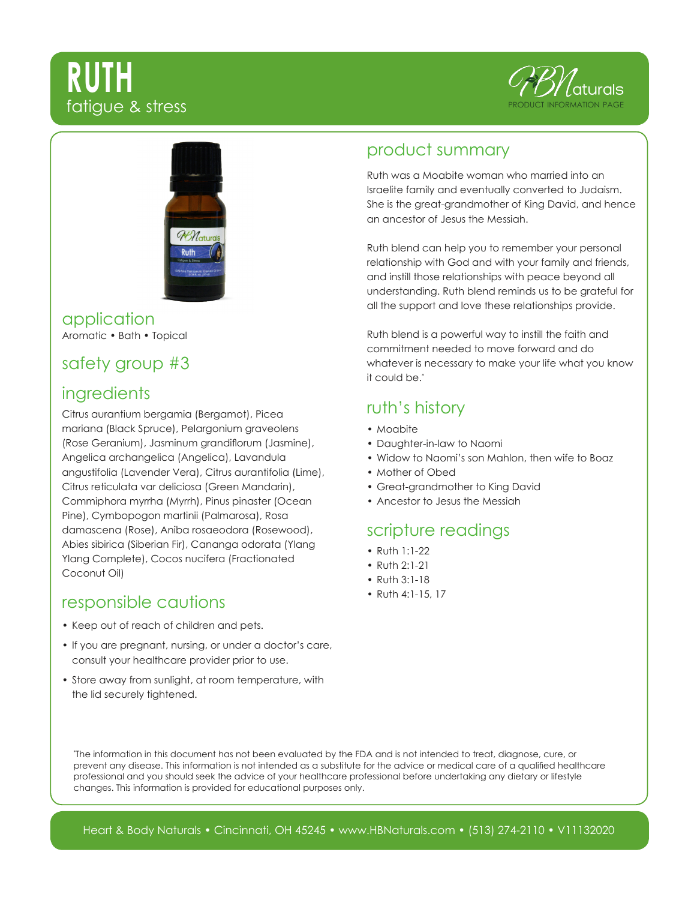# **RUTH** fatigue & stress





#### application Aromatic • Bath • Topical

## safety group #3

## **ingredients**

Citrus aurantium bergamia (Bergamot), Picea mariana (Black Spruce), Pelargonium graveolens (Rose Geranium), Jasminum grandiflorum (Jasmine), Angelica archangelica (Angelica), Lavandula angustifolia (Lavender Vera), Citrus aurantifolia (Lime), Citrus reticulata var deliciosa (Green Mandarin), Commiphora myrrha (Myrrh), Pinus pinaster (Ocean Pine), Cymbopogon martinii (Palmarosa), Rosa damascena (Rose), Aniba rosaeodora (Rosewood), Abies sibirica (Siberian Fir), Cananga odorata (Ylang Ylang Complete), Cocos nucifera (Fractionated Coconut Oil)

#### responsible cautions

- Keep out of reach of children and pets.
- If you are pregnant, nursing, or under a doctor's care, consult your healthcare provider prior to use.
- Store away from sunlight, at room temperature, with the lid securely tightened.

#### product summary

Ruth was a Moabite woman who married into an Israelite family and eventually converted to Judaism. She is the great-grandmother of King David, and hence an ancestor of Jesus the Messiah.

Ruth blend can help you to remember your personal relationship with God and with your family and friends, and instill those relationships with peace beyond all understanding. Ruth blend reminds us to be grateful for all the support and love these relationships provide.

Ruth blend is a powerful way to instill the faith and commitment needed to move forward and do whatever is necessary to make your life what you know it could be.\*

## ruth's history

- Moabite
- Daughter-in-law to Naomi
- Widow to Naomi's son Mahlon, then wife to Boaz
- Mother of Obed
- Great-grandmother to King David
- Ancestor to Jesus the Messiah

### scripture readings

- Ruth 1:1-22
- Ruth 2:1-21
- Ruth 3:1-18
- Ruth 4:1-15, 17

\* The information in this document has not been evaluated by the FDA and is not intended to treat, diagnose, cure, or prevent any disease. This information is not intended as a substitute for the advice or medical care of a qualified healthcare professional and you should seek the advice of your healthcare professional before undertaking any dietary or lifestyle changes. This information is provided for educational purposes only.

Heart & Body Naturals • Cincinnati, OH 45245 • www.HBNaturals.com • (513) 274-2110 • V11132020